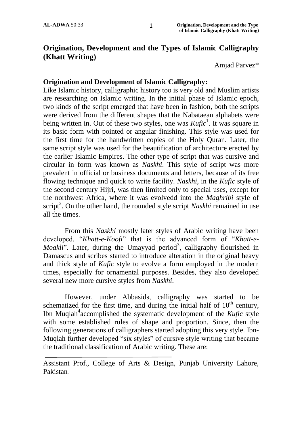## **Origination, Development and the Types of Islamic Calligraphy (Khatt Writing)**

Amjad Parvez\*

#### **Origination and Development of Islamic Calligraphy:**

Like Islamic history, calligraphic history too is very old and Muslim artists are researching on Islamic writing. In the initial phase of Islamic epoch, two kinds of the script emerged that have been in fashion, both the scripts were derived from the different shapes that the Nabataean alphabets were being written in. Out of these two styles, one was *Kufic*<sup>1</sup>. It was square in its basic form with pointed or angular finishing. This style was used for the first time for the handwritten copies of the Holy Quran. Later, the same script style was used for the beautification of architecture erected by the earlier Islamic Empires. The other type of script that was cursive and circular in form was known as *Naskhi*. This style of script was more prevalent in official or business documents and letters, because of its free flowing technique and quick to write facility. *Naskhi*, in the *Kufic* style of the second century Hijri, was then limited only to special uses, except for the northwest Africa, where it was evolvedd into the *Maghribi* style of script<sup>2</sup>. On the other hand, the rounded style script *Naskhi* remained in use all the times.

From this *Naskhi* mostly later styles of Arabic writing have been developed. "*Khatt-e-Koofi*" that is the advanced form of "*Khatt-e-Moakli*". Later, during the Umayyad period<sup>3</sup>, calligraphy flourished in Damascus and scribes started to introduce alteration in the original heavy and thick style of *Kufic* style to evolve a form employed in the modern times, especially for ornamental purposes. Besides, they also developed several new more cursive styles from *Naskhi*.

However, under Abbasids, calligraphy was started to be schematized for the first time, and during the initial half of  $10<sup>th</sup>$  century, Ibn Muqlah<sup>4</sup> accomplished the systematic development of the *Kufic* style with some established rules of shape and proportion. Since, then the following generations of calligraphers started adopting this very style. Ibn-Muqlah further developed "six styles" of cursive style writing that became the traditional classification of Arabic writing. These are:

Assistant Prof., College of Arts & Design, Punjab University Lahore, Pakistan.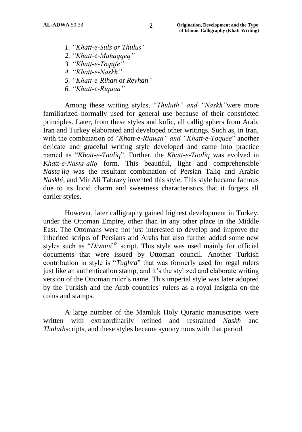- *1. "Khatt-e-Suls or Thulus"*
- *2. "Khatt-e-Muhaqqeq"*
- *3. "Khatt-e-Toqufe"*
- *4. "Khatt-e-Naskh"*
- *5. "Khatt-e-Rihan* or *Reyhan"*
- *6. "Khatt-e-Riquaa"*

Among these writing styles, "*Thuluth" and "Naskh"*were more familiarized normally used for general use because of their constricted principles. Later, from these styles and kufic, all calligraphers from Arab, Iran and Turkey elaborated and developed other writings. Such as, in Iran, with the combination of "*Khatt-e-Riquaa" and "Khatt-e-Toquee*" another delicate and graceful writing style developed and came into practice named as "*Khatt-e-Taaliq*". Further, the *Khatt-e-Taaliq* was evolved in *Khatt-e-Nasta"aliq* form. This beautiful, light and comprehensible *Nasta'liq* was the resultant combination of Persian Taliq and Arabic *Naskhi*, and Mir Ali Tabrazy invented this style. This style became famous due to its lucid charm and sweetness characteristics that it forgets all earlier styles.

However, later calligraphy gained highest development in Turkey, under the Ottoman Empire, other than in any other place in the Middle East. The Ottomans were not just interested to develop and improve the inherited scripts of Persians and Arabs but also further added some new styles such as "*Diwani*" 5 script. This style was used mainly for official documents that were issued by Ottoman council. Another Turkish contribution in style is "*Tughra*" that was formerly used for regal rulers just like an authentication stamp, and it's the stylized and elaborate writing version of the Ottoman ruler's name. This imperial style was later adopted by the Turkish and the Arab countries' rulers as a royal insignia on the coins and stamps.

A large number of the Mamluk Holy Quranic manuscripts were written with extraordinarily refined and restrained *Naskh* and *Thuluth*scripts, and these styles became synonymous with that period.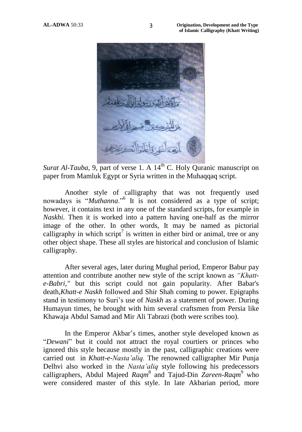

*Surat Al-Tauba*, 9, part of verse 1. A 14<sup>th</sup> C. Holy Quranic manuscript on paper from Mamluk Egypt or Syria written in the Muhaqqaq script.

Another style of calligraphy that was not frequently used nowadays is "*Muthanna*."<sup>6</sup> It is not considered as a type of script; however, it contains text in any one of the standard scripts, for example in *Naskhi.* Then it is worked into a pattern having one-half as the mirror image of the other. In other words, It may be named as pictorial calligraphy in which script<sup>7</sup> is written in either bird or animal, tree or any other object shape. These all styles are historical and conclusion of Islamic calligraphy.

After several ages, later during Mughal period, Emperor Babur pay attention and contribute another new style of the script known as *"Khatte-Babri,"* but this script could not gain popularity. After Babar's death,*Khatt-e Naskh* followed and Shir Shah coming to power. Epigraphs stand in testimony to Suri"s use of *Naskh* as a statement of power. During Humayun times, he brought with him several craftsmen from Persia like Khawaja Abdul Samad and Mir Ali Tabrazi (both were scribes too).

In the Emperor Akbar"s times, another style developed known as "*Dewani*" but it could not attract the royal courtiers or princes who ignored this style because mostly in the past, calligraphic creations were carried out in *Khatt-e-Nasta"aliq.* The renowned calligrapher Mir Punja Delhvi also worked in the *Nasta"aliq* style following his predecessors calligraphers, Abdul Majeed *Raqm*<sup>8</sup> and Tajud-Din *Zareen-Raqm*<sup>9</sup> who were considered master of this style. In late Akbarian period, more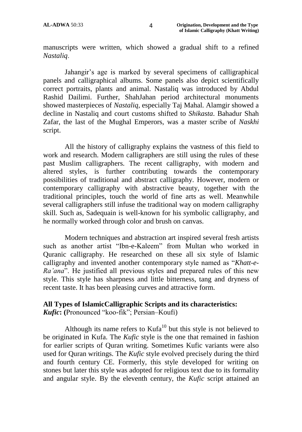manuscripts were written, which showed a gradual shift to a refined *Nastaliq*.

Jahangir's age is marked by several specimens of calligraphical panels and calligraphical albums. Some panels also depict scientifically correct portraits, plants and animal. Nastaliq was introduced by Abdul Rashid Dailimi. Further, ShahJahan period architectural monuments showed masterpieces of *Nastaliq,* especially Taj Mahal. Alamgir showed a decline in Nastaliq and court customs shifted to *Shikasta*. Bahadur Shah Zafar, the last of the Mughal Emperors, was a master scribe of *Naskhi* script.

All the history of calligraphy explains the vastness of this field to work and research. Modern calligraphers are still using the rules of these past Muslim calligraphers. The recent calligraphy, with modern and altered styles, is further contributing towards the contemporary possibilities of traditional and abstract calligraphy. However, modern or contemporary calligraphy with abstractive beauty, together with the traditional principles, touch the world of fine arts as well. Meanwhile several calligraphers still infuse the traditional way on modern calligraphy skill. Such as, Sadequain is well-known for his symbolic calligraphy, and he normally worked through color and brush on canvas.

Modern techniques and abstraction art inspired several fresh artists such as another artist "Ibn-e-Kaleem" from Multan who worked in Quranic calligraphy. He researched on these all six style of Islamic calligraphy and invented another contemporary style named as "*Khatt-e-Ra"ana*". He justified all previous styles and prepared rules of this new style. This style has sharpness and little bitterness, tang and dryness of recent taste. It has been pleasing curves and attractive form.

## **All Types of IslamicCalligraphic Scripts and its characteristics:**

*Kufic***: (**Pronounced "koo-fik"; Persian–Koufi)

Although its name refers to  $Kufa^{10}$  but this style is not believed to be originated in Kufa. The *Kufic* style is the one that remained in fashion for earlier scripts of Quran writing. Sometimes Kufic variants were also used for Quran writings. The *Kufic* style evolved precisely during the third and fourth century CE. Formerly, this style developed for writing on stones but later this style was adopted for religious text due to its formality and angular style. By the eleventh century, the *Kufic* script attained an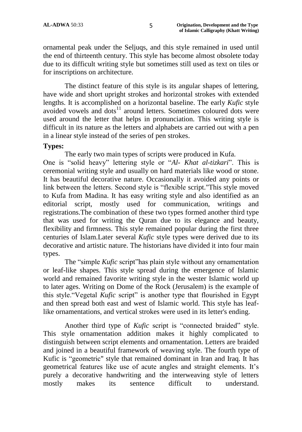ornamental peak under the Seljuqs, and this style remained in used until the end of thirteenth century. This style has become almost obsolete today due to its difficult writing style but sometimes still used as text on tiles or for inscriptions on architecture.

The distinct feature of this style is its angular shapes of lettering, have wide and short upright strokes and horizontal strokes with extended lengths. It is accomplished on a horizontal baseline. The early *Kufic* style avoided vowels and dots<sup>11</sup> around letters. Sometimes coloured dots were used around the letter that helps in pronunciation. This writing style is difficult in its nature as the letters and alphabets are carried out with a pen in a linear style instead of the series of pen strokes.

## **Types:**

The early two main types of scripts were produced in Kufa.

One is "solid heavy" lettering style or "*Al- Khat al-tizkari*". This is ceremonial writing style and usually on hard materials like wood or stone. It has beautiful decorative nature. Occasionally it avoided any points or link between the letters. Second style is "flexible script."This style moved to Kufa from Madina. It has easy writing style and also identified as an editorial script, mostly used for communication, writings and registrations.The combination of these two types formed another third type that was used for writing the Quran due to its elegance and beauty, flexibility and firmness. This style remained popular during the first three centuries of Islam.Later several *Kufic* style types were derived due to its decorative and artistic nature. The historians have divided it into four main types.

The "simple *Kufic* script"has plain style without any ornamentation or leaf-like shapes. This style spread during the emergence of Islamic world and remained favorite writing style in the wester Islamic world up to later ages. Writing on Dome of the Rock (Jerusalem) is the example of this style."Vegetal *Kufic* script" is another type that flourished in Egypt and then spread both east and west of Islamic world. This style has leaflike ornamentations, and vertical strokes were used in its letter's ending.

Another third type of *Kufic* script is "connected braided" style. This style ornamentation addition makes it highly complicated to distinguish between script elements and ornamentation. Letters are braided and joined in a beautiful framework of weaving style. The fourth type of Kufic is "geometric" style that remained dominant in Iran and Iraq. It has geometrical features like use of acute angles and straight elements. It"s purely a decorative handwriting and the interweaving style of letters mostly makes its sentence difficult to understand[.](http://calligraphyqalam.com/gallery/index.php?album=Kufic.alb)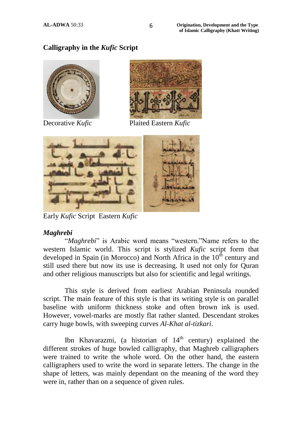## **[Calligraphy in the](http://calligraphyqalam.com/gallery/index.php?album=Kufic.alb)** *Kufic* **Script**





Decorative *Kufic* Plaited Eastern *Kufic*



Early *Kufic* Script Eastern *Kufic*

## *Maghrebi*

"*Maghrebi*" is Arabic word means "western."Name refers to the western Islamic world. This script is stylized *Kufic* script form that developed in Spain (in Morocco) and North Africa in the  $10<sup>th</sup>$  century and still used there but now its use is decreasing. It used not only for Quran and other religious manuscripts but also for scientific and legal writings.

This style is derived from earliest Arabian Peninsula rounded script. The main feature of this style is that its writing style is on parallel baseline with uniform thickness stoke and often brown ink is used. However, vowel-marks are mostly flat rather slanted. Descendant strokes carry huge bowls, with sweeping curves *Al-Khat al-tizkari*.

Ibn Khavarazmi, (a historian of  $14<sup>th</sup>$  century) explained the different strokes of huge bowled calligraphy, that Maghreb calligraphers were trained to write the whole word. On the other hand, the eastern calligraphers used to write the word in separate letters. The change in the shape of letters, was mainly dependant on the meaning of the word they were in, rather than on a sequence of given rules.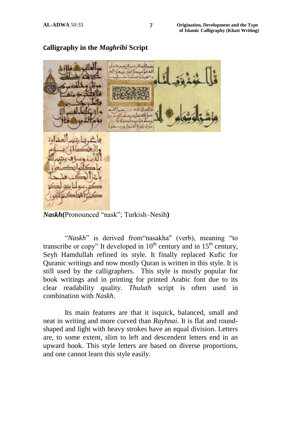

### **C[alligraphy in the](http://calligraphyqalam.com/gallery/index.php?album=Maghribi.alb)** *Maghribi* **Script**

*Naskh***(**Pronounced "nask"; Turkish–Nesih**)**

"*Naskh*" is derived from"nasakha" (verb), meaning "to transcribe or copy" It developed in  $10^{th}$  century and in  $15^{th}$  century, Seyh Hamdullah refined its style. It finally replaced Kufic for Quranic writings and now mostly Quran is written in this style. It is still used by the calligraphers. This style is mostly popular for book writings and in printing for printed Arabic font due to its clear readability quality. *Thuluth* script is often used in combination with *Naskh*.

Its main features are that it isquick, balanced, small and neat in writing and more curved than *Rayhnai*. It is flat and roundshaped and light with heavy strokes have an equal division. Letters are, to some extent, slim to left and descendent letters end in an upward hook. This style letters are based on diverse proportions, and one cannot learn this style easily.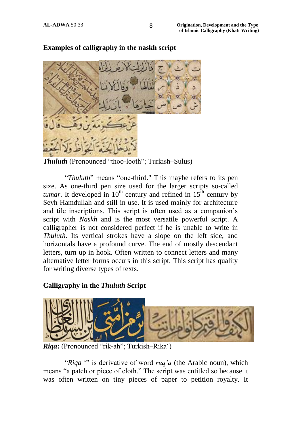

**[Examples of calligraphy in the naskh script](http://calligraphyqalam.com/gallery/index.php?album=Naskh.alb)**

*Thuluth* (Pronounced "thoo-looth"; Turkish–Sulus)

"*Thuluth*" means "one-third." This maybe refers to its pen size. As one-third pen size used for the larger scripts so-called *tumar*. It developed in  $10^{th}$  century and refined in  $15^{th}$  century by [Seyh Hamdullah](http://calligraphyqalam.com/people/seyh-hamdullah.html) and still in use. It is used mainly for architecture and tile inscriptions. This script is often used as a companion"s script with *Naskh* and is the most versatile powerful script. A calligrapher is not considered perfect if he is unable to write in *Thuluth*. Its vertical strokes have a slope on the left side, and horizontals have a profound curve. The end of mostly descendant letters, turn up in hook. Often written to connect letters and many alternative letter forms occurs in this script. This script has quality for writing diverse types of texts.

## **[Calligraphy in the](http://calligraphyqalam.com/gallery/index.php?album=Thuluth.alb)** *Thuluth* **Script**



*Riqa***:** (Pronounced "rik-ah"; Turkish–Rika")

"*Riqa* "" is derivative of word *ruq"a* (the Arabic noun), which means "a patch or piece of cloth." The script was entitled so because it was often written on tiny pieces of paper to petition royalty. It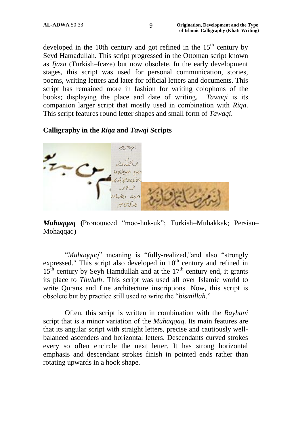developed in the 10th century and got refined in the  $15<sup>th</sup>$  century by Seyd Hamadullah. This script progressed in the Ottoman script known as *Ijaza* (Turkish–Icaze) but now obsolete. In the early development stages, this script was used for personal communication, stories, poems, writing letters and later for official letters and documents. This script has remained more in fashion for writing colophons of the books; displaying the place and date of writing. *Tawaqi* is its companion larger script that mostly used in combination with *Riqa*. This script features round letter shapes and small form of *Tawaqi*.

## **[Calligraphy](http://calligraphyqalam.com/gallery/index.php?album=Riqa.alb) in the** *Riqa* **and** *Tawqi* **Scripts**



*Muhaqqaq* **(**Pronounced "moo-huk-uk"; Turkish–Muhakkak; Persian– Mohaqqaq)

"*Muhaqqaq*" meaning is "fully-realized,"and also "strongly expressed." This script also developed in  $10<sup>th</sup>$  century and refined in  $15<sup>th</sup>$  century by Seyh Hamdullah and at the  $17<sup>th</sup>$  century end, it grants its place to *Thuluth*. This script was used all over Islamic world to write Qurans and fine architecture inscriptions. Now, this script is obsolete but by practice still used to write the "*bismillah*."

Often, this script is written in combination with the *Rayhani* script that is a minor variation of the *Muhaqqaq*. Its main features are that its angular script with straight letters, precise and cautiously wellbalanced ascenders and horizontal letters. Descendants curved strokes every so often encircle the next letter. It has strong horizontal emphasis and descendant strokes finish in pointed ends rather than rotating upwards in a hook shape.

9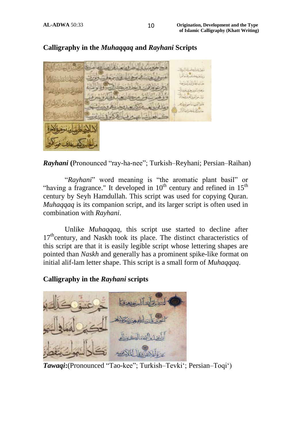

## **[Calligraphy in the](http://calligraphyqalam.com/gallery/index.php?album=Muhaqqaq.alb)** *Muhaqqaq* **and** *Rayhani* **Scripts**

*Rayhani* **(**Pronounced "ray-ha-nee"; Turkish–Reyhani; Persian–Raihan)

"*Rayhani*" word meaning is "the aromatic plant basil" or "having a fragrance." It developed in  $10<sup>th</sup>$  century and refined in  $15<sup>th</sup>$ century by Seyh Hamdullah. This script was used for copying Quran. *Muhaqqaq* is its companion script, and its larger script is often used in combination with *Rayhani*.

Unlike *Muhaqqaq*, this script use started to decline after 17<sup>th</sup>century, and Naskh took its place. The distinct characteristics of this script are that it is easily legible script whose lettering shapes are pointed than *Naskh* and generally has a prominent spike-like format on initial alif-lam letter shape. This script is a small form of *Muhaqqaq*.

### **[Calligraphy in the](http://calligraphyqalam.com/gallery/index.php?album=Muhaqqaq.alb)** *Rayhani* **scripts**



*Tawaqi***:**(Pronounced "Tao-kee"; Turkish–Tevki"; Persian–Toqi")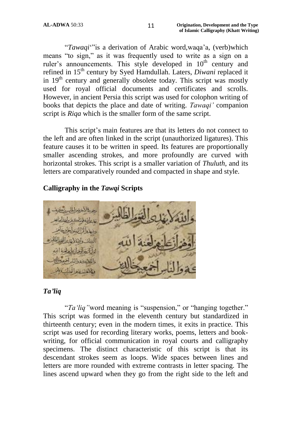"*Tawaqi*""is a derivation of Arabic word,waqa"a, (verb)which means "to sign," as it was frequently used to write as a sign on a ruler's announcements. This style developed in 10<sup>th</sup> century and refined in 15th century by Syed Hamdullah. Laters, *Diwani* replaced it in 19<sup>th</sup> century and generally obsolete today. This script was mostly used for royal official documents and certificates and scrolls. However, in ancient Persia this script was used for colophon writing of books that depicts the place and date of writing. *Tawaqi"* companion script is *Riqa* which is the smaller form of the same script.

This script's main features are that its letters do not connect to the left and are often linked in the script (unauthorized ligatures). This feature causes it to be written in speed. Its features are proportionally smaller ascending strokes, and more profoundly are curved with horizontal strokes. This script is a smaller variation of *Thuluth*, and its letters are comparatively rounded and compacted in shape and style.

#### **[Calligraphy](http://calligraphyqalam.com/gallery/index.php?album=Riqa.alb) in the** *Tawqi* **Scripts**



#### *Ta'liq*

"*Ta"liq"*word meaning is "suspension," or "hanging together." This script was formed in the eleventh century but standardized in thirteenth century; even in the modern times, it exits in practice. This script was used for recording literary works, poems, letters and bookwriting, for official communication in royal courts and calligraphy specimens. The distinct characteristic of this script is that its descendant strokes seem as loops. Wide spaces between lines and letters are more rounded with extreme contrasts in letter spacing. The lines ascend upward when they go from the right side to the left and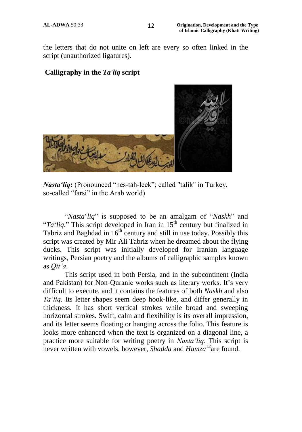the letters that do not unite on left are every so often linked in the script (unauthorized ligatures).

#### **[Calligraphy](http://calligraphyqalam.com/gallery/index.php?album=Taliq.alb) in the** *Ta'liq* **script**



*Nasta'liq*: (Pronounced "nes-tah-leek"; called "talik" in Turkey, so-called "farsi" in the Arab world)

"*Nasta*"*liq*" is supposed to be an amalgam of "*Naskh*" and " $Ta'liq$ ." This script developed in Iran in 15<sup>th</sup> century but finalized in Tabriz and Baghdad in  $16<sup>th</sup>$  century and still in use today. Possibly this script was created by Mir Ali Tabriz when he dreamed about the flying ducks. This script was initially developed for Iranian language writings, Persian poetry and the albums of calligraphic samples known as *Qit"a*.

This script used in both Persia, and in the subcontinent (India and Pakistan) for Non-Quranic works such as literary works. It's very difficult to execute, and it contains the features of both *Naskh* and also *Ta"liq*. Its letter shapes seem deep hook-like, and differ generally in thickness. It has short vertical strokes while broad and sweeping horizontal strokes. Swift, calm and flexibility is its overall impression, and its letter seems floating or hanging across the folio. This feature is looks more enhanced when the text is organized on a diagonal line, a practice more suitable for writing poetry in *Nasta"liq*. This script is never written with vowels, however, *Shadda* and *Hamza*<sup>12</sup>are found.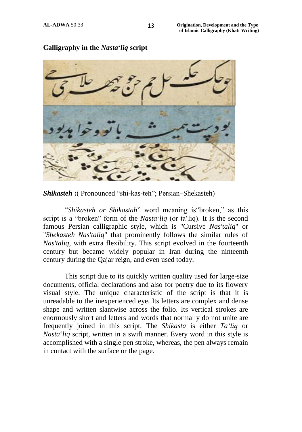

**Calligraphy in the** *Nasta***'***liq* **script**

*Shikasteh* **:**( Pronounced "shi-kas-teh"; Persian–Shekasteh)

"*Shikasteh or Shikastah*" word meaning is"broken," as this script is a "broken" form of the *Nasta*"*liq* (or ta"liq). It is the second famous Persian calligraphic style, which is "Cursive *Nas'taliq*" or "*Shekasteh Nas'taliq*" that prominently follows the similar rules of *Nas'taliq*, with extra flexibility. This script evolved in the fourteenth century but became widely popular in Iran during the ninteenth century during the Qajar reign, and even used today.

This script due to its quickly written quality used for large-size documents, official declarations and also for poetry due to its flowery visual style. The unique characteristic of the script is that it is unreadable to the inexperienced eye. Its letters are complex and dense shape and written slantwise across the folio. Its vertical strokes are enormously short and letters and words that normally do not unite are frequently joined in this script. The *Shikasta* is either *Ta"liq* or *Nasta*"*liq* script, written in a swift manner. Every word in this style is accomplished with a single pen stroke, whereas, the pen always remain in contact with the surface or the page.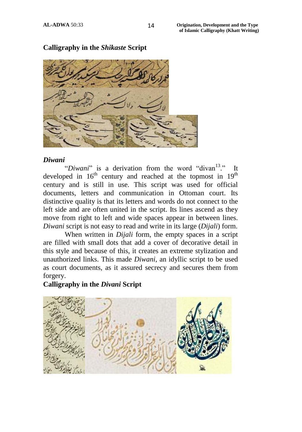

## **[Calligraphy](http://calligraphyqalam.com/gallery/index.php?album=Shikaste.alb) in the** *Shikaste* **Script**

#### *Diwani*

"*Diwani*" is a derivation from the word "divan<sup>13</sup>." It developed in  $16<sup>th</sup>$  century and reached at the topmost in  $19<sup>th</sup>$ century and is still in use. This script was used for official documents, letters and communication in Ottoman court. Its distinctive quality is that its letters and words do not connect to the left side and are often united in the script. Its lines ascend as they move from right to left and wide spaces appear in between lines. *Diwani* script is not easy to read and write in its large (*Dijali*) form.

When written in *Dijali* form, the empty spaces in a script are filled with small dots that add a cover of decorative detail in this style and because of this, it creates an extreme stylization and unauthorized links. This made *Diwani*, an idyllic script to be used as court documents, as it assured secrecy and secures them from forgery.

#### **[Calligraphy in the](http://calligraphyqalam.com/gallery/index.php?album=Divani.alb)** *Divani* **Script**

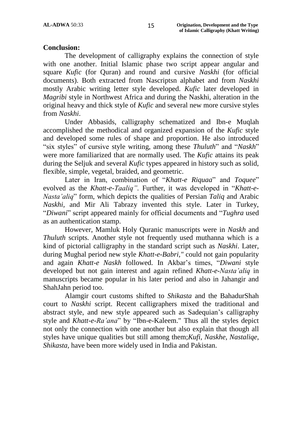#### **Conclusion:**

The development of calligraphy explains the connection of style with one another. Initial Islamic phase two script appear angular and square *Kufic* (for Quran) and round and cursive *Naskhi* (for official documents). Both extracted from Nascriptsn alphabet and from *Naskhi* mostly Arabic writing letter style developed. *Kufic* later developed in *Magribi* style in Northwest Africa and during the Naskhi, alteration in the original heavy and thick style of *Kufic* and several new more cursive styles from *Naskhi*.

Under Abbasids, calligraphy schematized and Ibn-e Muqlah accomplished the methodical and organized expansion of the *Kufic* style and developed some rules of shape and proportion. He also introduced "six styles" of cursive style writing, among these *Thuluth*" and "*Naskh*" were more familiarized that are normally used. The *Kufic* attains its peak during the Seljuk and several *Kufic* types appeared in history such as solid, flexible, simple, vegetal, braided, and geometric.

Later in Iran, combination of "*Khatt-e Riquaa*" and *Toquee*" evolved as the *Khatt-e-Taaliq".* Further, it was developed in "*Khatt-e-Nasta"aliq*" form, which depicts the qualities of Persian *Taliq* and Arabic *Naskhi,* and Mir Ali Tabrazy invented this style. Later in Turkey, "*Diwani*" script appeared mainly for official documents and "*Tughra* used as an authentication stamp.

However, Mamluk Holy Quranic manuscripts were in *Naskh* and *Thuluth* scripts. Another style not frequently used muthanna which is a kind of pictorial calligraphy in the standard script such as *Naskhi*. Later, during Mughal period new style *Khatt-e-Babri,"* could not gain popularity and again *Khatt-e Naskh* followed. In Akbar"s times, "*Diwani* style developed but not gain interest and again refined *Khatt-e-Nasta"aliq* in manuscripts became popular in his later period and also in Jahangir and ShahJahn period too.

Alamgir court customs shifted to *Shikasta* and the BahadurShah court to *Naskhi* script. Recent calligraphers mixed the traditional and abstract style, and new style appeared such as Sadequian"s calligraphy style and *Khatt-e-Ra"ana*" by "Ibn-e-Kaleem." Thus all the styles depict not only the connection with one another but also explain that though all styles have unique qualities but still among them;*Kufi*, *Naskhe*, *Nastaliqe*, *Shikasta,* have been more widely used in India and Pakistan.